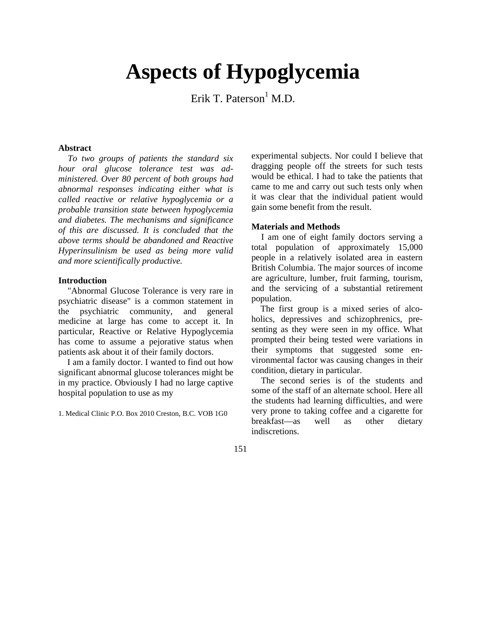# **Aspects of Hypoglycemia**

Erik T. Paterson<sup>1</sup> M.D.

# **Abstract**

*To two groups of patients the standard six hour oral glucose tolerance test was administered. Over 80 percent of both groups had abnormal responses indicating either what is called reactive or relative hypoglycemia or a probable transition state between hypoglycemia and diabetes. The mechanisms and significance of this are discussed. It is concluded that the above terms should be abandoned and Reactive Hyperinsulinism be used as being more valid and more scientifically productive.*

# **Introduction**

"Abnormal Glucose Tolerance is very rare in psychiatric disease" is a common statement in the psychiatric community, and general medicine at large has come to accept it. In particular, Reactive or Relative Hypoglycemia has come to assume a pejorative status when patients ask about it of their family doctors.

I am a family doctor. I wanted to find out how significant abnormal glucose tolerances might be in my practice. Obviously I had no large captive hospital population to use as my

1. Medical Clinic P.O. Box 2010 Creston, B.C. VOB 1G0

experimental subjects. Nor could I believe that dragging people off the streets for such tests would be ethical. I had to take the patients that came to me and carry out such tests only when it was clear that the individual patient would gain some benefit from the result.

# **Materials and Methods**

I am one of eight family doctors serving a total population of approximately 15,000 people in a relatively isolated area in eastern British Columbia. The major sources of income are agriculture, lumber, fruit farming, tourism, and the servicing of a substantial retirement population.

The first group is a mixed series of alcoholics, depressives and schizophrenics, presenting as they were seen in my office. What prompted their being tested were variations in their symptoms that suggested some environmental factor was causing changes in their condition, dietary in particular.

The second series is of the students and some of the staff of an alternate school. Here all the students had learning difficulties, and were very prone to taking coffee and a cigarette for breakfast—as well as other dietary indiscretions.

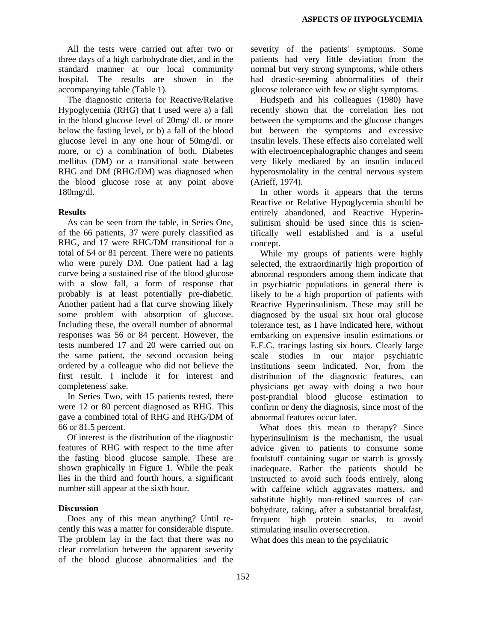All the tests were carried out after two or three days of a high carbohydrate diet, and in the standard manner at our local community hospital. The results are shown in the accompanying table (Table 1).

The diagnostic criteria for Reactive/Relative Hypoglycemia (RHG) that I used were a) a fall in the blood glucose level of 20mg/ dl. or more below the fasting level, or b) a fall of the blood glucose level in any one hour of 50mg/dl. or more, or c) a combination of both. Diabetes mellitus (DM) or a transitional state between RHG and DM (RHG/DM) was diagnosed when the blood glucose rose at any point above 180mg/dl.

#### **Results**

As can be seen from the table, in Series One, of the 66 patients, 37 were purely classified as RHG, and 17 were RHG/DM transitional for a total of 54 or 81 percent. There were no patients who were purely DM. One patient had a lag curve being a sustained rise of the blood glucose with a slow fall, a form of response that probably is at least potentially pre-diabetic. Another patient had a flat curve showing likely some problem with absorption of glucose. Including these, the overall number of abnormal responses was 56 or 84 percent. However, the tests numbered 17 and 20 were carried out on the same patient, the second occasion being ordered by a colleague who did not believe the first result. I include it for interest and completeness' sake.

In Series Two, with 15 patients tested, there were 12 or 80 percent diagnosed as RHG. This gave a combined total of RHG and RHG/DM of 66 or 81.5 percent.

Of interest is the distribution of the diagnostic features of RHG with respect to the time after the fasting blood glucose sample. These are shown graphically in Figure 1. While the peak lies in the third and fourth hours, a significant number still appear at the sixth hour.

#### **Discussion**

Does any of this mean anything? Until recently this was a matter for considerable dispute. The problem lay in the fact that there was no clear correlation between the apparent severity of the blood glucose abnormalities and the

severity of the patients' symptoms. Some patients had very little deviation from the normal but very strong symptoms, while others had drastic-seeming abnormalities of their glucose tolerance with few or slight symptoms.

Hudspeth and his colleagues (1980) have recently shown that the correlation lies not between the symptoms and the glucose changes but between the symptoms and excessive insulin levels. These effects also correlated well with electroencephalographic changes and seem very likely mediated by an insulin induced hyperosmolality in the central nervous system (Arieff, 1974).

In other words it appears that the terms Reactive or Relative Hypoglycemia should be entirely abandoned, and Reactive Hyperinsulinism should be used since this is scientifically well established and is a useful concept.

While my groups of patients were highly selected, the extraordinarily high proportion of abnormal responders among them indicate that in psychiatric populations in general there is likely to be a high proportion of patients with Reactive Hyperinsulinism. These may still be diagnosed by the usual six hour oral glucose tolerance test, as I have indicated here, without embarking on expensive insulin estimations or E.E.G. tracings lasting six hours. Clearly large scale studies in our major psychiatric institutions seem indicated. Nor, from the distribution of the diagnostic features, can physicians get away with doing a two hour post-prandial blood glucose estimation to confirm or deny the diagnosis, since most of the abnormal features occur later.

What does this mean to therapy? Since hyperinsulinism is the mechanism, the usual advice given to patients to consume some foodstuff containing sugar or starch is grossly inadequate. Rather the patients should be instructed to avoid such foods entirely, along with caffeine which aggravates matters, and substitute highly non-refined sources of carbohydrate, taking, after a substantial breakfast, frequent high protein snacks, to avoid stimulating insulin oversecretion.

What does this mean to the psychiatric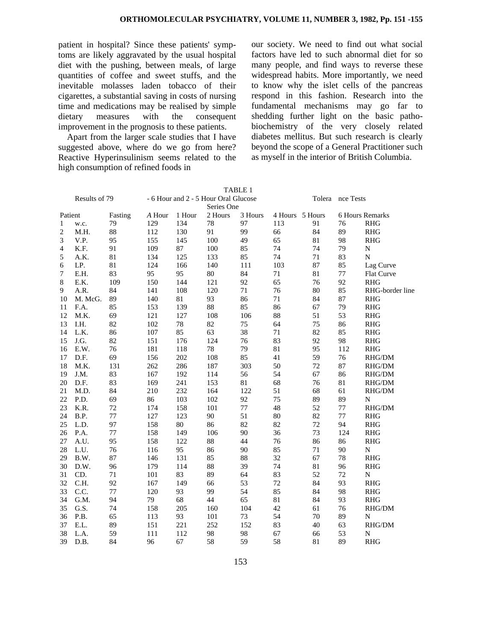patient in hospital? Since these patients' symptoms are likely aggravated by the usual hospital diet with the pushing, between meals, of large quantities of coffee and sweet stuffs, and the inevitable molasses laden tobacco of their cigarettes, a substantial saving in costs of nursing time and medications may be realised by simple dietary measures with the consequent improvement in the prognosis to these patients.

Apart from the larger scale studies that I have suggested above, where do we go from here? Reactive Hyperinsulinism seems related to the high consumption of refined foods in

our society. We need to find out what social factors have led to such abnormal diet for so many people, and find ways to reverse these widespread habits. More importantly, we need to know why the islet cells of the pancreas respond in this fashion. Research into the fundamental mechanisms may go far to shedding further light on the basic pathobiochemistry of the very closely related diabetes mellitus. But such research is clearly beyond the scope of a General Practitioner such as myself in the interior of British Columbia.

|                    |         |                                                    |        |        |         | TABLE I |                  |                 |     |                                              |
|--------------------|---------|----------------------------------------------------|--------|--------|---------|---------|------------------|-----------------|-----|----------------------------------------------|
| Results of 79      |         | - 6 Hour and 2 - 5 Hour Oral Glucose<br>Series One |        |        |         |         | Tolera nce Tests |                 |     |                                              |
| Fasting<br>Patient |         |                                                    | A Hour | 1 Hour | 2 Hours | 3 Hours |                  | 4 Hours 5 Hours |     | 6 Hours Remarks                              |
| 1                  | w.c.    | 79                                                 | 129    | 134    | 78      | 97      | 113              | 91              | 76  | <b>RHG</b>                                   |
| 2                  | M.H.    | 88                                                 | 112    | 130    | 91      | 99      | 66               | 84              | 89  | <b>RHG</b>                                   |
| 3                  | V.P.    | 95                                                 | 155    | 145    | 100     | 49      | 65               | 81              | 98  | <b>RHG</b>                                   |
| 4                  | K.F.    | 91                                                 | 109    | 87     | 100     | 85      | 74               | 74              | 79  | $\mathbf N$                                  |
| 5                  | A.K.    | 81                                                 | 134    | 125    | 133     | 85      | 74               | 71              | 83  | $\overline{N}$                               |
| 6                  | LP.     | 81                                                 | 124    | 166    | 140     | 111     | 103              | 87              | 85  | Lag Curve                                    |
| 7                  | E.H.    | 83                                                 | 95     | 95     | 80      | 84      | 71               | 81              | 77  | Flat Curve                                   |
| 8                  | E.K.    | 109                                                | 150    | 144    | 121     | 92      | 65               | 76              | 92  | <b>RHG</b>                                   |
| 9                  | A.R.    | 84                                                 | 141    | 108    | 120     | $71\,$  | 76               | 80              | 85  | RHG-border line                              |
| 10                 | M. McG. | 89                                                 | 140    | 81     | 93      | 86      | 71               | 84              | 87  | <b>RHG</b>                                   |
| 11                 | F.A.    | 85                                                 | 153    | 139    | 88      | 85      | 86               | 67              | 79  | <b>RHG</b>                                   |
| 12                 | M.K.    | 69                                                 | 121    | 127    | 108     | 106     | 88               | 51              | 53  | <b>RHG</b>                                   |
| 13                 | I.H.    | 82                                                 | 102    | 78     | 82      | 75      | 64               | 75              | 86  | RHG                                          |
| 14                 | L.K.    | 86                                                 | 107    | 85     | 63      | 38      | 71               | 82              | 85  | <b>RHG</b>                                   |
| 15                 | J.G.    | 82                                                 | 151    | 176    | 124     | 76      | 83               | 92              | 98  | RHG                                          |
| 16                 | E.W.    | 76                                                 | 181    | 118    | 78      | 79      | 81               | 95              | 112 | <b>RHG</b>                                   |
| 17                 | D.F.    | 69                                                 | 156    | 202    | 108     | 85      | 41               | 59              | 76  | RHG/DM                                       |
| 18                 | M.K.    | 131                                                | 262    | 286    | 187     | 303     | 50               | 72              | 87  | RHG/DM                                       |
| 19                 | $J.M.$  | 83                                                 | 167    | 192    | 114     | 56      | 54               | 67              | 86  | RHG/DM                                       |
| 20                 | D.F.    | 83                                                 | 169    | 241    | 153     | 81      | 68               | 76              | 81  | RHG/DM                                       |
| 21                 | M.D.    | 84                                                 | 210    | 232    | 164     | 122     | 51               | 68              | 61  | RHG/DM                                       |
| 22                 | P.D.    | 69                                                 | 86     | 103    | 102     | 92      | 75               | 89              | 89  | N                                            |
| 23                 | K.R.    | $72\,$                                             | 174    | 158    | 101     | $77\,$  | 48               | 52              | 77  | RHG/DM                                       |
| 24                 | B.P.    | 77                                                 | 127    | 123    | 90      | 51      | 80               | 82              | 77  | <b>RHG</b>                                   |
| 25                 | L.D.    | 97                                                 | 158    | 80     | 86      | 82      | 82               | 72              | 94  | <b>RHG</b>                                   |
| 26                 | P.A.    | 77                                                 | 158    | 149    | 106     | 90      | 36               | 73              | 124 | <b>RHG</b>                                   |
| 27                 | A.U.    | 95                                                 | 158    | 122    | 88      | 44      | 76               | 86              | 86  | <b>RHG</b>                                   |
| 28                 | L.U.    | 76                                                 | 116    | 95     | 86      | 90      | 85               | 71              | 90  | $\mathbf N$                                  |
| 29                 | B.W.    | 87                                                 | 146    | 131    | 85      | 88      | 32               | 67              | 78  | <b>RHG</b>                                   |
| 30                 | D.W.    | 96                                                 | 179    | 114    | 88      | 39      | 74               | 81              | 96  | <b>RHG</b>                                   |
| 31                 | CD.     | 71                                                 | 101    | 83     | 89      | 64      | 83               | 52              | 72  | $\mathbf N$                                  |
| 32                 | C.H.    | 92                                                 | 167    | 149    | 66      | 53      | 72               | 84              | 93  | <b>RHG</b>                                   |
| 33                 | C.C.    | 77                                                 | 120    | 93     | 99      | 54      | 85               | 84              | 98  | <b>RHG</b>                                   |
| 34                 | G.M.    | 94                                                 | 79     | 68     | 44      | 65      | 81               | 84              | 93  | <b>RHG</b>                                   |
| 35                 | G.S.    | 74                                                 | 158    | 205    | 160     | 104     | 42               | 61              | 76  | RHG/DM                                       |
| 36                 | P.B.    | 65                                                 | 113    | 93     | 101     | 73      | 54               | 70              | 89  | ${\bf N}$                                    |
| 37                 | E.L.    | 89                                                 | 151    | 221    | 252     | 152     | 83               | 40              | 63  | $\mathbf{R}\mathbf{H}\mathbf{G}/\mathbf{DM}$ |
| 38                 | L.A.    | 59                                                 | 111    | 112    | 98      | 98      | 67               | 66              | 53  | $\mathbf N$                                  |
| 39                 | D.B.    | 84                                                 | 96     | 67     | 58      | 59      | 58               | 81              | 89  | <b>RHG</b>                                   |

 $T_{\text{max}}$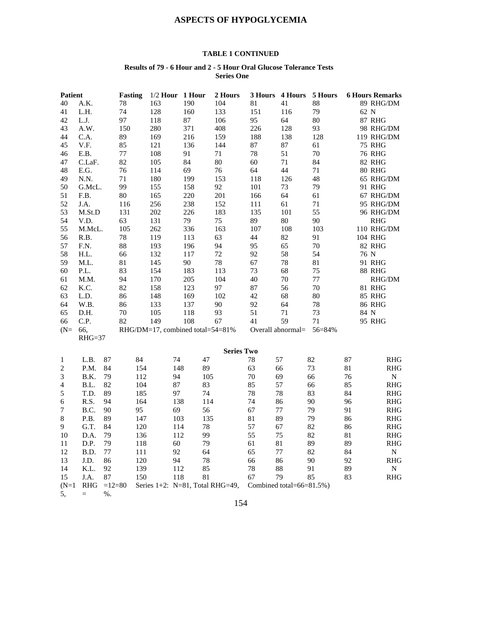# **ASPECTS OF HYPOGLYCEMIA**

# **TABLE 1 CONTINUED**

#### **Results of 79 - 6 Hour and 2 - 5 Hour Oral Glucose Tolerance Tests Series One**

| <b>Patient</b>    |                   |          | <b>Fasting</b> | $1/2$ Hour                           | 1 Hour |     | 2 Hours | 3 Hours | 4 Hours                  | 5 Hours |      | <b>6 Hours Remarks</b> |
|-------------------|-------------------|----------|----------------|--------------------------------------|--------|-----|---------|---------|--------------------------|---------|------|------------------------|
| 40                | A.K.              |          | 78             | 163                                  | 190    |     | 104     | 81      | 41                       | 88      |      | 89 RHG/DM              |
| 41                | L.H.              |          | 74             | 128                                  | 160    |     | 133     | 151     | 116                      | 79      | 62 N |                        |
| 42                | L.J.              |          | 97             | 118                                  | 87     |     | 106     | 95      | 64                       | 80      |      | <b>87 RHG</b>          |
| 43                | A.W.              |          | 150            | 280                                  | 371    |     | 408     | 226     | 128                      | 93      |      | 98 RHG/DM              |
| 44                | C.A.              |          | 89             | 169                                  | 216    |     | 159     | 188     | 138                      | 128     |      | 119 RHG/DM             |
| 45                | V.F.              |          | 85             | 121                                  | 136    |     | 144     | 87      | $87\,$                   | 61      |      | <b>75 RHG</b>          |
| 46                | E.B.              |          | 77             | 108                                  | 91     |     | 71      | 78      | 51                       | 70      |      | <b>76 RHG</b>          |
| 47                | C.LaF.            |          | 82             | 105                                  | 84     |     | 80      | 60      | 71                       | 84      |      | <b>82 RHG</b>          |
| 48                | E.G.              |          | 76             | 114                                  | 69     |     | 76      | 64      | 44                       | 71      |      | <b>80 RHG</b>          |
| 49                | N.N.              |          | 71             | 180                                  | 199    |     | 153     | 118     | 126                      | 48      |      | 65 RHG/DM              |
| 50                | G.McL.            |          | 99             | 155                                  | 158    |     | 92      | 101     | 73                       | 79      |      | 91 RHG                 |
| 51                | F.B.              |          | 80             | 165                                  | 220    |     | 201     | 166     | 64                       | 61      |      | 67 RHG/DM              |
| 52                | J.A.              |          | 116            | 256                                  | 238    |     | 152     | 111     | 61                       | $71\,$  |      | 95 RHG/DM              |
| 53                | M.St.D            |          | 131            | 202                                  | 226    |     | 183     | 135     | 101                      | 55      |      | 96 RHG/DM              |
| 54                | V.D.              |          | 63             | 131                                  | 79     |     | 75      | 89      | 80                       | 90      |      | <b>RHG</b>             |
| 55                | M.McL.            |          | 105            | 262                                  | 336    |     | 163     | 107     | 108                      | 103     |      | 110 RHG/DM             |
| 56                | R.B.              |          | 78             | 119                                  | 113    |     | 63      | 44      | 82                       | 91      |      | 104 RHG                |
| 57                | F.N.              |          | 88             | 193                                  | 196    |     | 94      | 95      | 65                       | 70      |      | <b>82 RHG</b>          |
| 58                | H.L.              |          | 66             | 132                                  | 117    |     | 72      | 92      | 58                       | 54      | 76 N |                        |
| 59                | M.L.              |          | 81             | 145                                  | 90     |     | 78      | 67      | 78                       | 81      |      | 91 RHG                 |
| 60                | P.L.              |          | 83             | 154                                  | 183    |     | 113     | 73      | 68                       | 75      |      | <b>88 RHG</b>          |
| 61                | M.M.              |          | 94             | 170                                  | 205    |     | 104     | 40      | 70                       | 77      |      | RHG/DM                 |
| 62                | K.C.              |          | 82             | 158                                  | 123    |     | 97      | 87      | 56                       | 70      |      | <b>81 RHG</b>          |
| 63                | L.D.              |          | 86             | 148                                  | 169    |     | 102     | 42      | 68                       | 80      |      | <b>85 RHG</b>          |
| 64                | W.B.              |          | 86             | 133                                  | 137    |     | 90      | 92      | 64                       | 78      |      | <b>86 RHG</b>          |
| 65                | D.H.              |          | 70             | 105                                  | 118    |     | 93      | 51      | 71                       | 73      | 84 N |                        |
| 66                | C.P.              |          | 82             | 149                                  | 108    |     | 67      | 41      | 59                       | 71      |      | 95 RHG                 |
| $(N=$             | 66,               |          |                | RHG/DM=17, combined total= $54=81\%$ |        |     |         |         | Overall abnormal=        | 56=84%  |      |                        |
|                   | $RHG=37$          |          |                |                                      |        |     |         |         |                          |         |      |                        |
| <b>Series Two</b> |                   |          |                |                                      |        |     |         |         |                          |         |      |                        |
| 1                 | L.B.              | 87       |                | 84                                   | 74     | 47  |         | $78\,$  | 57                       | 82      | 87   | <b>RHG</b>             |
| $\overline{c}$    | P.M.              | 84       |                | 154                                  | 148    | 89  |         | 63      | 66                       | 73      | 81   | RHG                    |
| 3                 | B.K.              | 79       |                | 112                                  | 94     | 105 |         | 70      | 69                       | 66      | 76   | N                      |
| $\overline{4}$    | B.L.              | 82       |                | 104                                  | 87     | 83  |         | 85      | 57                       | 66      | 85   | <b>RHG</b>             |
|                   | T.D.              | 89       |                | 185                                  | 97     | 74  |         | 78      | $78\,$                   | 83      | 84   | RHG                    |
| 5                 |                   | 94       |                |                                      |        |     |         | 74      |                          |         | 96   |                        |
| 6                 | R.S.              |          |                | 164                                  | 138    | 114 |         |         | 86                       | 90      |      | <b>RHG</b>             |
| 7                 | B.C.              | 90       |                | 95                                   | 69     | 56  |         | 67      | 77                       | 79      | 91   | <b>RHG</b>             |
| 8                 | P.B.              | 89       |                | 147                                  | 103    | 135 |         | 81      | 89                       | 79      | 86   | <b>RHG</b>             |
| 9                 | G.T.              | 84       |                | 120                                  | 114    | 78  |         | 57      | 67                       | 82      | 86   | <b>RHG</b>             |
| 10                | D.A.              | 79       |                | 136                                  | 112    | 99  |         | 55      | 75                       | 82      | 81   | <b>RHG</b>             |
| 11                | D.P.              | 79       |                | 118                                  | 60     | 79  |         | 61      | 81                       | 89      | 89   | <b>RHG</b>             |
| 12                | B.D.              | 77       |                | 111                                  | 92     | 64  |         | 65      | 77                       | 82      | 84   | N                      |
| 13                | J.D.              | 86       |                | 120                                  | 94     | 78  |         | 66      | 86                       | 90      | 92   | <b>RHG</b>             |
| 14                | K.L.              | 92       |                | 139                                  | 112    | 85  |         | 78      | 88                       | 91      | 89   | ${\bf N}$              |
| 15                | J.A.              | $87\,$   |                | 150                                  | 118    | 81  |         | 67      | 79                       | 85      | 83   | <b>RHG</b>             |
| $(N=1)$           | <b>RHG</b>        | $=12=80$ |                | Series $1+2$ : N=81, Total RHG=49,   |        |     |         |         | Combined total=66=81.5%) |         |      |                        |
| 5,                | $\qquad \qquad =$ | $%$ .    |                |                                      |        |     |         |         |                          |         |      |                        |

154